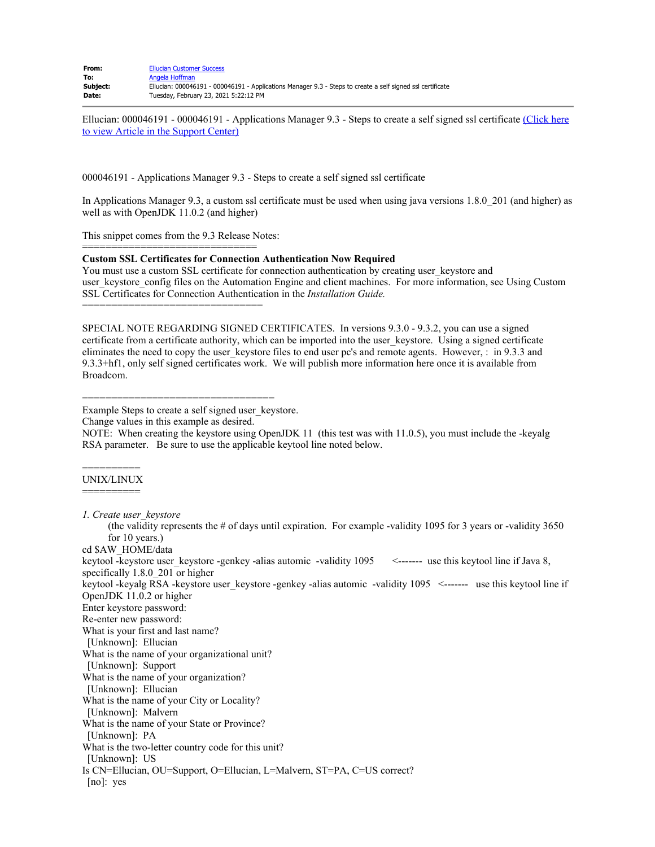| From:    | <b>Ellucian Customer Success</b>                                                                           |
|----------|------------------------------------------------------------------------------------------------------------|
| To:      | Angela Hoffman                                                                                             |
| Subject: | Ellucian: 000046191 - 000046191 - Applications Manager 9.3 - Steps to create a self signed ssl certificate |
| Date:    | Tuesday, February 23, 2021 5:22:12 PM                                                                      |

Ellucian: 000046191 - 000046191 - Applications Manager 9.3 - Steps to create a self signed ssl certificate [\(Click here](https://nam10.safelinks.protection.outlook.com/?url=https%3A%2F%2Fellucian.force.com%2Fclients%2Fs%2Farticle%2F000046191-Applications-Manager-9-3-Steps-to-create-a-self-signed-ssl-certificate&data=04%7C01%7Choffman%40montana.edu%7C96a171bf810548e60f4d08d8d85a39be%7C324aa97a03a644fc91e43846fbced113%7C0%7C0%7C637497229317427109%7CUnknown%7CTWFpbGZsb3d8eyJWIjoiMC4wLjAwMDAiLCJQIjoiV2luMzIiLCJBTiI6Ik1haWwiLCJXVCI6Mn0%3D%7C1000&sdata=2KzpnJ1Pqq7AK0hR9a7d1ZIUNkvcLeAA1JKEcXa3rR0%3D&reserved=0) [to view Article in the Support Center\)](https://nam10.safelinks.protection.outlook.com/?url=https%3A%2F%2Fellucian.force.com%2Fclients%2Fs%2Farticle%2F000046191-Applications-Manager-9-3-Steps-to-create-a-self-signed-ssl-certificate&data=04%7C01%7Choffman%40montana.edu%7C96a171bf810548e60f4d08d8d85a39be%7C324aa97a03a644fc91e43846fbced113%7C0%7C0%7C637497229317427109%7CUnknown%7CTWFpbGZsb3d8eyJWIjoiMC4wLjAwMDAiLCJQIjoiV2luMzIiLCJBTiI6Ik1haWwiLCJXVCI6Mn0%3D%7C1000&sdata=2KzpnJ1Pqq7AK0hR9a7d1ZIUNkvcLeAA1JKEcXa3rR0%3D&reserved=0)

000046191 - Applications Manager 9.3 - Steps to create a self signed ssl certificate

In Applications Manager 9.3, a custom ssl certificate must be used when using java versions 1.8.0\_201 (and higher) as well as with OpenJDK 11.0.2 (and higher)

This snippet comes from the 9.3 Release Notes:

==============================

===============================

## **Custom SSL Certificates for Connection Authentication Now Required**

You must use a custom SSL certificate for connection authentication by creating user keystore and user keystore config files on the Automation Engine and client machines. For more information, see Using Custom SSL Certificates for Connection Authentication in the *Installation Guide.*

SPECIAL NOTE REGARDING SIGNED CERTIFICATES. In versions 9.3.0 - 9.3.2, you can use a signed certificate from a certificate authority, which can be imported into the user\_keystore. Using a signed certificate eliminates the need to copy the user keystore files to end user pc's and remote agents. However, : in 9.3.3 and 9.3.3+hf1, only self signed certificates work. We will publish more information here once it is available from Broadcom.

=================================

Example Steps to create a self signed user keystore.

Change values in this example as desired.

NOTE: When creating the keystore using OpenJDK 11 (this test was with 11.0.5), you must include the -keyalg RSA parameter. Be sure to use the applicable keytool line noted below.

## ========== UNIX/LINUX ==========

*1. Create user\_keystore* 

(the validity represents the  $\#$  of days until expiration. For example -validity 1095 for 3 years or -validity 3650 for 10 years.)

cd \$AW\_HOME/data

keytool -keystore user keystore -genkey -alias automic -validity 1095 <------- use this keytool line if Java 8, specifically 1.8.0 201 or higher keytool -keyalg RSA -keystore user keystore -genkey -alias automic -validity 1095 <------- use this keytool line if OpenJDK 11.0.2 or higher

Enter keystore password:

Re-enter new password:

What is your first and last name?

[Unknown]: Ellucian

What is the name of your organizational unit?

[Unknown]: Support

What is the name of your organization?

[Unknown]: Ellucian

What is the name of your City or Locality?

[Unknown]: Malvern

What is the name of your State or Province?

[Unknown]: PA

What is the two-letter country code for this unit?

[Unknown]: US

Is CN=Ellucian, OU=Support, O=Ellucian, L=Malvern, ST=PA, C=US correct?

[no]: yes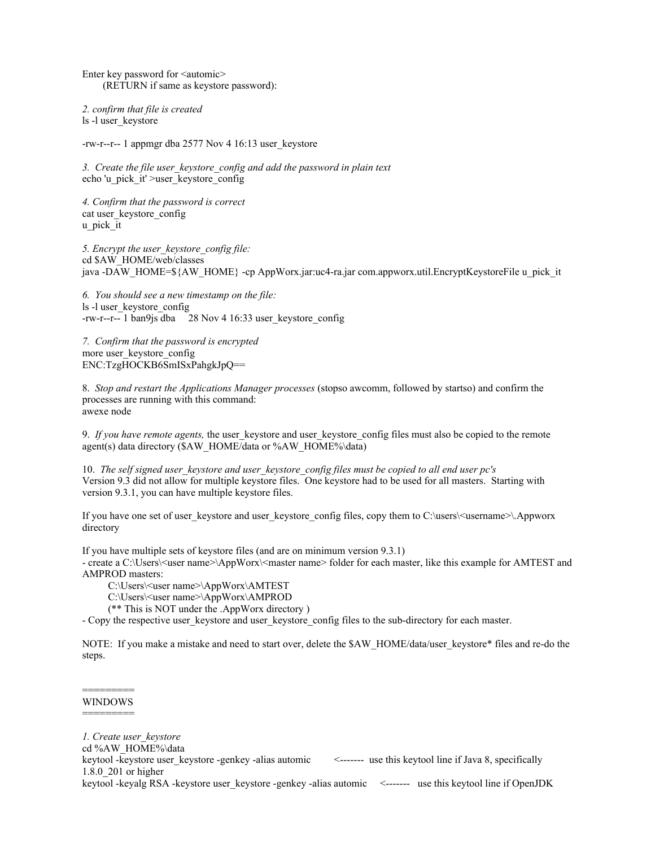Enter key password for <automic> (RETURN if same as keystore password):

*2. confirm that file is created* ls -l user\_keystore

-rw-r--r-- 1 appmgr dba 2577 Nov 4 16:13 user\_keystore

*3. Create the file user\_keystore\_config and add the password in plain text* echo 'u\_pick\_it' >user\_keystore\_config

*4. Confirm that the password is correct* cat user\_keystore\_config u\_pick\_it

*5. Encrypt the user\_keystore\_config file:* cd \$AW\_HOME/web/classes java -DAW\_HOME=\${AW\_HOME} -cp AppWorx.jar:uc4-ra.jar com.appworx.util.EncryptKeystoreFile u\_pick\_it

*6. You should see a new timestamp on the file:* ls -l user\_keystore\_config -rw-r--r-- 1 ban9js dba 28 Nov 4 16:33 user\_keystore\_config

*7. Confirm that the password is encrypted* more user\_keystore\_config ENC:TzgHOCKB6SmISxPahgkJpQ==

8. *Stop and restart the Applications Manager processes* (stopso awcomm, followed by startso) and confirm the processes are running with this command: awexe node

9. *If you have remote agents,* the user\_keystore and user\_keystore\_config files must also be copied to the remote agent(s) data directory (\$AW\_HOME/data or %AW\_HOME%\data)

10. *The self signed user\_keystore and user\_keystore\_config files must be copied to all end user pc's* Version 9.3 did not allow for multiple keystore files. One keystore had to be used for all masters. Starting with version 9.3.1, you can have multiple keystore files.

If you have one set of user\_keystore and user\_keystore\_config files, copy them to C:\users\<username>\.Appworx directory

If you have multiple sets of keystore files (and are on minimum version 9.3.1)

- create a C:\Users\<user name>\AppWorx\<master name> folder for each master, like this example for AMTEST and AMPROD masters:

C:\Users\<user name>\AppWorx\AMTEST

- C:\Users\<user name>\AppWorx\AMPROD
- (\*\* This is NOT under the .AppWorx directory )

- Copy the respective user keystore and user keystore config files to the sub-directory for each master.

NOTE: If you make a mistake and need to start over, delete the \$AW\_HOME/data/user\_keystore\* files and re-do the steps.

## ========= WINDOWS  $-$

*1. Create user\_keystore*

cd %AW\_HOME%\data

keytool -keystore user\_keystore -genkey -alias automic <------- use this keytool line if Java 8, specifically 1.8.0\_201 or higher

keytool -keyalg RSA -keystore user keystore -genkey -alias automic <------- use this keytool line if OpenJDK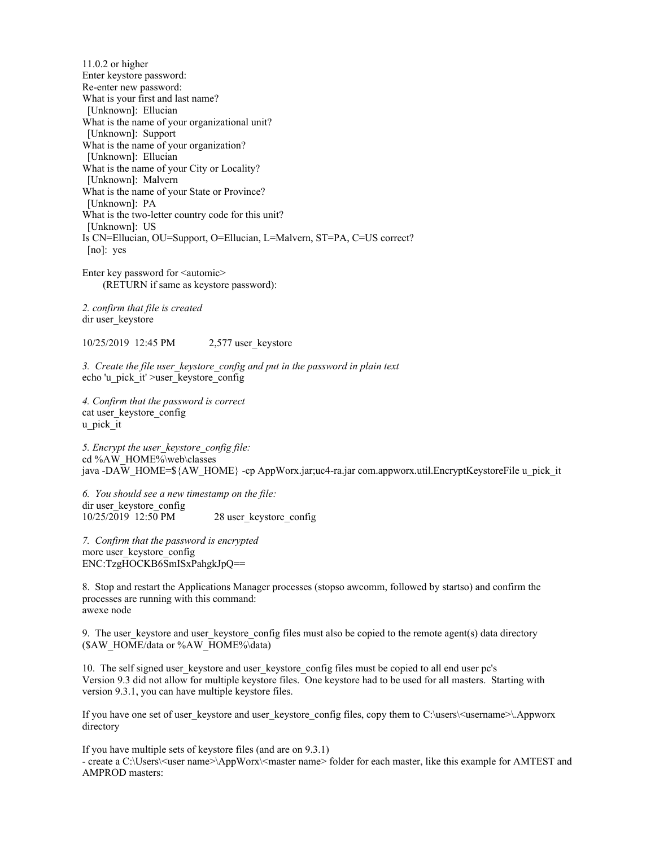11.0.2 or higher Enter keystore password: Re-enter new password: What is your first and last name? [Unknown]: Ellucian What is the name of your organizational unit? [Unknown]: Support What is the name of your organization? [Unknown]: Ellucian What is the name of your City or Locality? [Unknown]: Malvern What is the name of your State or Province? [Unknown]: PA What is the two-letter country code for this unit? [Unknown]: US Is CN=Ellucian, OU=Support, O=Ellucian, L=Malvern, ST=PA, C=US correct? [no]: yes

Enter key password for  $\leq$  automic $\geq$ (RETURN if same as keystore password):

*2. confirm that file is created* dir user\_keystore

10/25/2019 12:45 PM 2,577 user\_keystore

*3. Create the file user\_keystore\_config and put in the password in plain text* echo 'u\_pick\_it' >user\_keystore\_config

*4. Confirm that the password is correct* cat user\_keystore\_config u\_pick\_it

*5. Encrypt the user\_keystore\_config file:* cd %AW\_HOME%\web\classes java -DAW\_HOME=\${AW\_HOME} -cp AppWorx.jar;uc4-ra.jar com.appworx.util.EncryptKeystoreFile u\_pick\_it

*6. You should see a new timestamp on the file:* dir user\_keystore\_config<br> $10/25/2019$  12:50 PM 28 user\_keystore\_config

*7. Confirm that the password is encrypted* more user keystore config ENC:TzgHOCKB6SmISxPahgkJpQ==

8. Stop and restart the Applications Manager processes (stopso awcomm, followed by startso) and confirm the processes are running with this command: awexe node

9. The user keystore and user keystore config files must also be copied to the remote agent(s) data directory (\$AW\_HOME/data or %AW\_HOME%\data)

10. The self signed user keystore and user keystore config files must be copied to all end user pc's Version 9.3 did not allow for multiple keystore files. One keystore had to be used for all masters. Starting with version 9.3.1, you can have multiple keystore files.

If you have one set of user\_keystore and user\_keystore\_config files, copy them to C:\users\<username>\.Appworx directory

If you have multiple sets of keystore files (and are on 9.3.1) - create a C:\Users\<user name>\AppWorx\<master name> folder for each master, like this example for AMTEST and AMPROD masters: